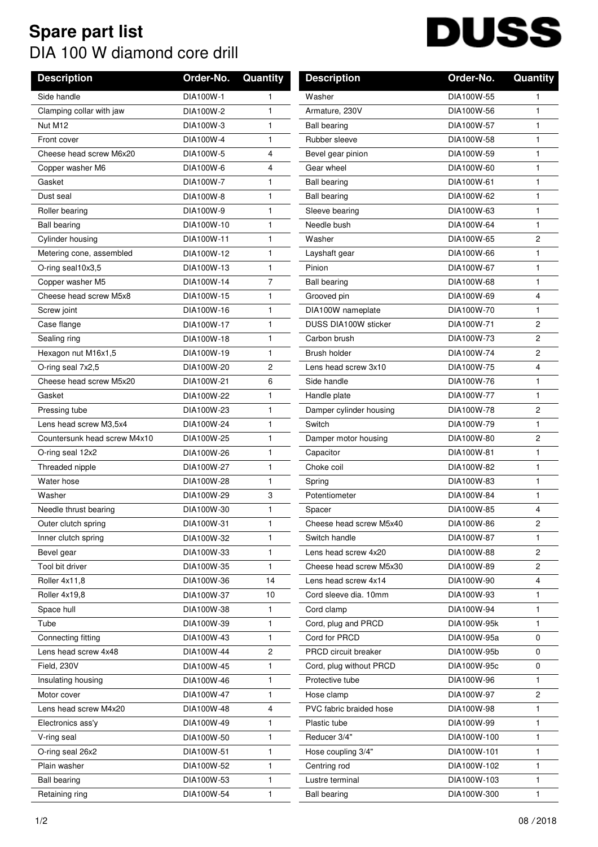## **Spare part list** DIA 100 W diamond core drill

## **DUSS**

| <b>Description</b>           | Order-No.  | Quantity       | <b>Description</b>      | Order-No.   | <b>Quantity</b> |
|------------------------------|------------|----------------|-------------------------|-------------|-----------------|
| Side handle                  | DIA100W-1  | 1              | Washer                  | DIA100W-55  |                 |
| Clamping collar with jaw     | DIA100W-2  | 1              | Armature, 230V          | DIA100W-56  | 1               |
| Nut M12                      | DIA100W-3  | 1              | <b>Ball bearing</b>     | DIA100W-57  | 1               |
| Front cover                  | DIA100W-4  | 1              | Rubber sleeve           | DIA100W-58  | 1               |
| Cheese head screw M6x20      | DIA100W-5  | 4              | Bevel gear pinion       | DIA100W-59  | 1               |
| Copper washer M6             | DIA100W-6  | 4              | Gear wheel              | DIA100W-60  | 1               |
| Gasket                       | DIA100W-7  | 1              | <b>Ball bearing</b>     | DIA100W-61  | 1               |
| Dust seal                    | DIA100W-8  | 1              | <b>Ball bearing</b>     | DIA100W-62  | 1               |
| Roller bearing               | DIA100W-9  | $\mathbf{1}$   | Sleeve bearing          | DIA100W-63  | 1               |
| <b>Ball bearing</b>          | DIA100W-10 | 1              | Needle bush             | DIA100W-64  | 1               |
| Cylinder housing             | DIA100W-11 | 1              | Washer                  | DIA100W-65  | $\overline{c}$  |
| Metering cone, assembled     | DIA100W-12 | 1              | Layshaft gear           | DIA100W-66  | 1               |
| O-ring seal10x3,5            | DIA100W-13 | 1              | Pinion                  | DIA100W-67  | 1               |
| Copper washer M5             | DIA100W-14 | $\overline{7}$ | <b>Ball bearing</b>     | DIA100W-68  | 1               |
| Cheese head screw M5x8       | DIA100W-15 | 1              | Grooved pin             | DIA100W-69  | 4               |
| Screw joint                  | DIA100W-16 | 1              | DIA100W nameplate       | DIA100W-70  | 1               |
| Case flange                  | DIA100W-17 | 1              | DUSS DIA100W sticker    | DIA100W-71  | $\overline{c}$  |
| Sealing ring                 | DIA100W-18 | 1              | Carbon brush            | DIA100W-73  | $\overline{c}$  |
| Hexagon nut M16x1,5          | DIA100W-19 | 1              | Brush holder            | DIA100W-74  | $\overline{c}$  |
| O-ring seal 7x2,5            | DIA100W-20 | 2              | Lens head screw 3x10    | DIA100W-75  | 4               |
| Cheese head screw M5x20      | DIA100W-21 | 6              | Side handle             | DIA100W-76  | 1               |
| Gasket                       | DIA100W-22 | 1              | Handle plate            | DIA100W-77  | 1               |
| Pressing tube                | DIA100W-23 | $\mathbf{1}$   | Damper cylinder housing | DIA100W-78  | $\overline{2}$  |
| Lens head screw M3,5x4       | DIA100W-24 | 1              | Switch                  | DIA100W-79  | 1               |
| Countersunk head screw M4x10 | DIA100W-25 | 1              | Damper motor housing    | DIA100W-80  | $\overline{2}$  |
| O-ring seal 12x2             | DIA100W-26 | 1              | Capacitor               | DIA100W-81  | 1               |
| Threaded nipple              | DIA100W-27 | 1              | Choke coil              | DIA100W-82  | 1               |
| Water hose                   | DIA100W-28 | 1              | Spring                  | DIA100W-83  | 1               |
| Washer                       | DIA100W-29 | 3              | Potentiometer           | DIA100W-84  | 1               |
| Needle thrust bearing        | DIA100W-30 | 1              | Spacer                  | DIA100W-85  | 4               |
| Outer clutch spring          | DIA100W-31 | 1              | Cheese head screw M5x40 | DIA100W-86  | 2               |
| Inner clutch spring          | DIA100W-32 | 1              | Switch handle           | DIA100W-87  | 1               |
| Bevel gear                   | DIA100W-33 | 1              | Lens head screw 4x20    | DIA100W-88  | 2               |
| Tool bit driver              | DIA100W-35 | 1              | Cheese head screw M5x30 | DIA100W-89  | 2               |
| Roller 4x11,8                | DIA100W-36 | 14             | Lens head screw 4x14    | DIA100W-90  | 4               |
| Roller 4x19,8                | DIA100W-37 | 10             | Cord sleeve dia. 10mm   | DIA100W-93  | 1               |
| Space hull                   | DIA100W-38 | 1              | Cord clamp              | DIA100W-94  | 1               |
| Tube                         | DIA100W-39 | 1.             | Cord, plug and PRCD     | DIA100W-95k | 1               |
| Connecting fitting           | DIA100W-43 | 1              | Cord for PRCD           | DIA100W-95a | $\mathbf 0$     |
| Lens head screw 4x48         | DIA100W-44 | 2              | PRCD circuit breaker    | DIA100W-95b | 0               |
| Field, 230V                  | DIA100W-45 | 1              | Cord, plug without PRCD | DIA100W-95c | 0               |
| Insulating housing           | DIA100W-46 | 1              | Protective tube         | DIA100W-96  | 1               |
| Motor cover                  | DIA100W-47 | 1              | Hose clamp              | DIA100W-97  | 2               |
| Lens head screw M4x20        | DIA100W-48 | 4              | PVC fabric braided hose | DIA100W-98  | 1               |
| Electronics ass'y            | DIA100W-49 | 1              | Plastic tube            | DIA100W-99  | 1               |
| V-ring seal                  | DIA100W-50 | 1              | Reducer 3/4"            | DIA100W-100 | 1               |
| O-ring seal 26x2             | DIA100W-51 | 1              | Hose coupling 3/4"      | DIA100W-101 | 1               |
| Plain washer                 | DIA100W-52 | 1              | Centring rod            | DIA100W-102 | 1               |
| <b>Ball bearing</b>          | DIA100W-53 | 1              | Lustre terminal         | DIA100W-103 | 1               |
| Retaining ring               | DIA100W-54 | 1              | <b>Ball bearing</b>     | DIA100W-300 | 1               |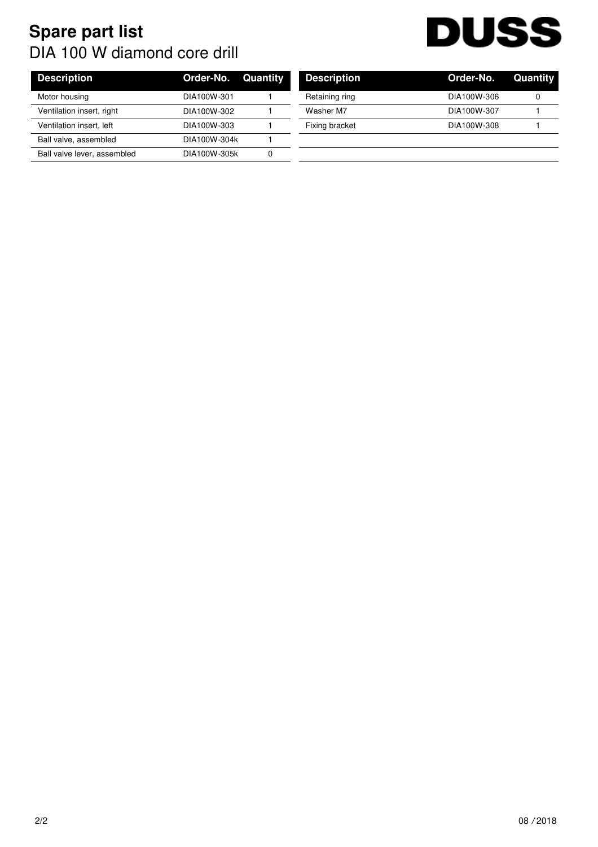## **Spare part list** DIA 100 W diamond core drill



| <b>Description</b>          | Order-No.    | Quantity | <b>Description</b> | Order-No.   | Quan |
|-----------------------------|--------------|----------|--------------------|-------------|------|
| Motor housing               | DIA100W-301  |          | Retaining ring     | DIA100W-306 |      |
| Ventilation insert, right   | DIA100W-302  |          | Washer M7          | DIA100W-307 |      |
| Ventilation insert, left    | DIA100W-303  |          | Fixing bracket     | DIA100W-308 |      |
| Ball valve, assembled       | DIA100W-304k |          |                    |             |      |
| Ball valve lever, assembled | DIA100W-305k |          |                    |             |      |

| <b>Description</b> | <b>Order-No. Quantity</b> |   |
|--------------------|---------------------------|---|
| Retaining ring     | DIA100W-306               | O |
| Washer M7          | DIA100W-307               |   |
| Fixing bracket     | DIA100W-308               |   |
|                    |                           |   |